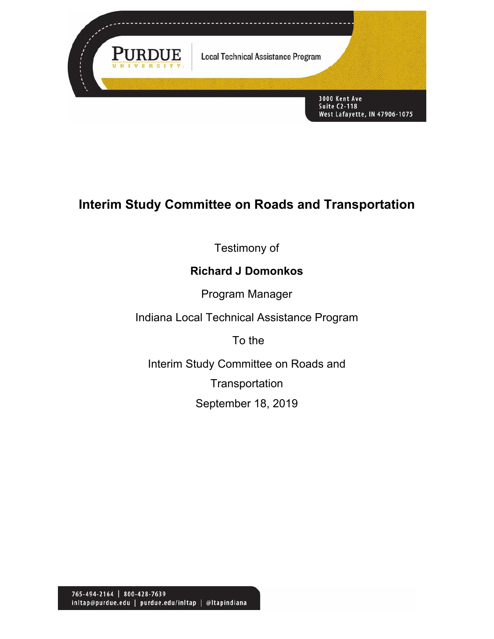

# **Interim Study Committee on Roads and Transportation**

Testimony of

### **Richard J Domonkos**

Program Manager

Indiana Local Technical Assistance Program

To the

Interim Study Committee on Roads and **Transportation** September 18, 2019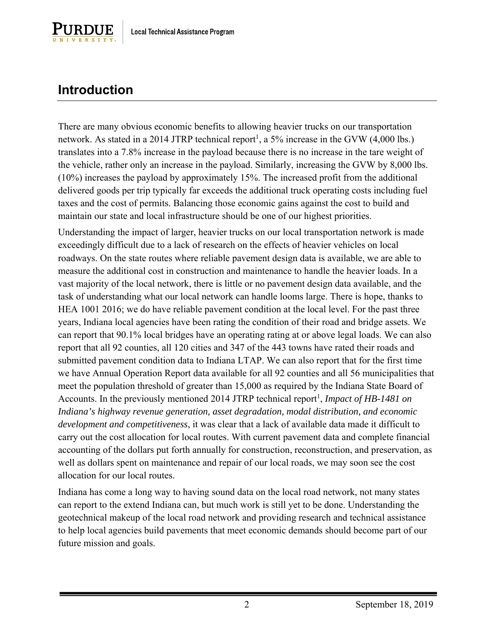

## **Introduction**

There are many obvious economic benefits to allowing heavier trucks on our transportation network. As stated in a 2014 JTRP technical report<sup>1</sup>, a 5% increase in the GVW  $(4,000 \text{ lbs.})$ translates into a 7.8% increase in the payload because there is no increase in the tare weight of the vehicle, rather only an increase in the payload. Similarly, increasing the GVW by 8,000 lbs. (10%) increases the payload by approximately 15%. The increased profit from the additional delivered goods per trip typically far exceeds the additional truck operating costs including fuel taxes and the cost of permits. Balancing those economic gains against the cost to build and maintain our state and local infrastructure should be one of our highest priorities.

Understanding the impact of larger, heavier trucks on our local transportation network is made exceedingly difficult due to a lack of research on the effects of heavier vehicles on local roadways. On the state routes where reliable pavement design data is available, we are able to measure the additional cost in construction and maintenance to handle the heavier loads. In a vast majority of the local network, there is little or no pavement design data available, and the task of understanding what our local network can handle looms large. There is hope, thanks to HEA 1001 2016; we do have reliable pavement condition at the local level. For the past three years, Indiana local agencies have been rating the condition of their road and bridge assets. We can report that 90.1% local bridges have an operating rating at or above legal loads. We can also report that all 92 counties, all 120 cities and 347 of the 443 towns have rated their roads and submitted pavement condition data to Indiana LTAP. We can also report that for the first time we have Annual Operation Report data available for all 92 counties and all 56 municipalities that meet the population threshold of greater than 15,000 as required by the Indiana State Board of Accounts. In the previously mentioned 2014 JTRP technical report 1 , *Impact of HB-1481 on Indiana's highway revenue generation, asset degradation, modal distribution, and economic development and competitiveness*, it was clear that a lack of available data made it difficult to carry out the cost allocation for local routes. With current pavement data and complete financial accounting of the dollars put forth annually for construction, reconstruction, and preservation, as well as dollars spent on maintenance and repair of our local roads, we may soon see the cost allocation for our local routes.

Indiana has come a long way to having sound data on the local road network, not many states can report to the extend Indiana can, but much work is still yet to be done. Understanding the geotechnical makeup of the local road network and providing research and technical assistance to help local agencies build pavements that meet economic demands should become part of our future mission and goals.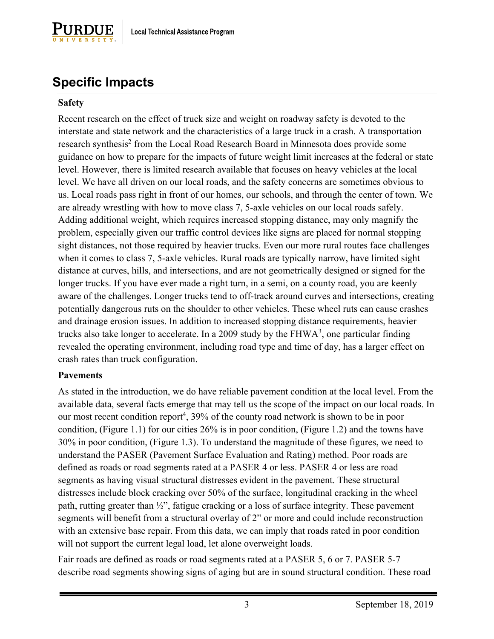

## **Specific Impacts**

#### **Safety**

Recent research on the effect of truck size and weight on roadway safety is devoted to the interstate and state network and the characteristics of a large truck in a crash. A transportation research synthesis<sup>2</sup> from the Local Road Research Board in Minnesota does provide some guidance on how to prepare for the impacts of future weight limit increases at the federal or state level. However, there is limited research available that focuses on heavy vehicles at the local level. We have all driven on our local roads, and the safety concerns are sometimes obvious to us. Local roads pass right in front of our homes, our schools, and through the center of town. We are already wrestling with how to move class 7, 5-axle vehicles on our local roads safely. Adding additional weight, which requires increased stopping distance, may only magnify the problem, especially given our traffic control devices like signs are placed for normal stopping sight distances, not those required by heavier trucks. Even our more rural routes face challenges when it comes to class 7, 5-axle vehicles. Rural roads are typically narrow, have limited sight distance at curves, hills, and intersections, and are not geometrically designed or signed for the longer trucks. If you have ever made a right turn, in a semi, on a county road, you are keenly aware of the challenges. Longer trucks tend to off-track around curves and intersections, creating potentially dangerous ruts on the shoulder to other vehicles. These wheel ruts can cause crashes and drainage erosion issues. In addition to increased stopping distance requirements, heavier trucks also take longer to accelerate. In a 2009 study by the  $FHWA<sup>3</sup>$ , one particular finding revealed the operating environment, including road type and time of day, has a larger effect on crash rates than truck configuration.

#### **Pavements**

As stated in the introduction, we do have reliable pavement condition at the local level. From the available data, several facts emerge that may tell us the scope of the impact on our local roads. In our most recent condition report<sup>4</sup>, 39% of the county road network is shown to be in poor condition, (Figure 1.1) for our cities 26% is in poor condition, (Figure 1.2) and the towns have 30% in poor condition, (Figure 1.3). To understand the magnitude of these figures, we need to understand the PASER (Pavement Surface Evaluation and Rating) method. Poor roads are defined as roads or road segments rated at a PASER 4 or less. PASER 4 or less are road segments as having visual structural distresses evident in the pavement. These structural distresses include block cracking over 50% of the surface, longitudinal cracking in the wheel path, rutting greater than ½", fatigue cracking or a loss of surface integrity. These pavement segments will benefit from a structural overlay of 2" or more and could include reconstruction with an extensive base repair. From this data, we can imply that roads rated in poor condition will not support the current legal load, let alone overweight loads.

Fair roads are defined as roads or road segments rated at a PASER 5, 6 or 7. PASER 5-7 describe road segments showing signs of aging but are in sound structural condition. These road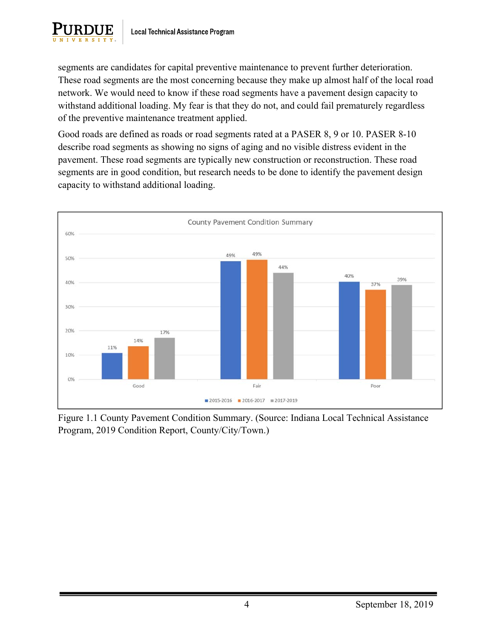

segments are candidates for capital preventive maintenance to prevent further deterioration. These road segments are the most concerning because they make up almost half of the local road network. We would need to know if these road segments have a pavement design capacity to withstand additional loading. My fear is that they do not, and could fail prematurely regardless of the preventive maintenance treatment applied.

Good roads are defined as roads or road segments rated at a PASER 8, 9 or 10. PASER 8-10 describe road segments as showing no signs of aging and no visible distress evident in the pavement. These road segments are typically new construction or reconstruction. These road segments are in good condition, but research needs to be done to identify the pavement design capacity to withstand additional loading.



Figure 1.1 County Pavement Condition Summary. (Source: Indiana Local Technical Assistance Program, 2019 Condition Report, County/City/Town.)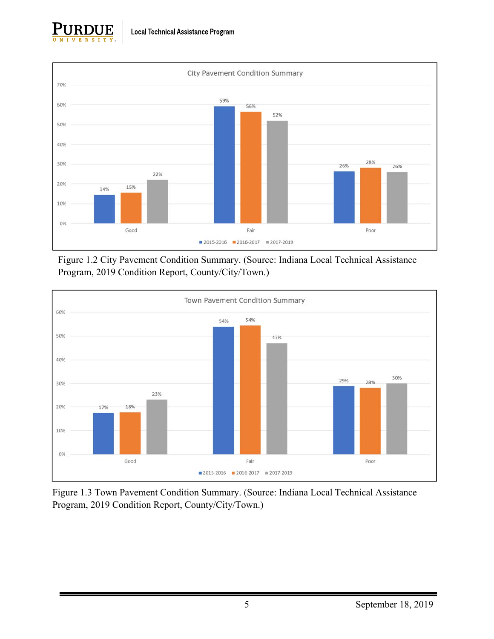



Figure 1.2 City Pavement Condition Summary. (Source: Indiana Local Technical Assistance Program, 2019 Condition Report, County/City/Town.)



Figure 1.3 Town Pavement Condition Summary. (Source: Indiana Local Technical Assistance Program, 2019 Condition Report, County/City/Town.)